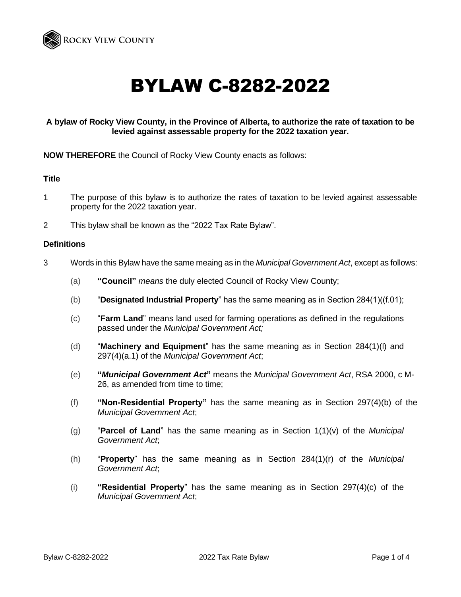

# BYLAW C-8282-2022

# **A bylaw of Rocky View County, in the Province of Alberta, to authorize the rate of taxation to be levied against assessable property for the 2022 taxation year.**

**NOW THEREFORE** the Council of Rocky View County enacts as follows:

### **Title**

- 1 The purpose of this bylaw is to authorize the rates of taxation to be levied against assessable property for the 2022 taxation year.
- 2 This bylaw shall be known as the "2022 Tax Rate Bylaw".

#### **Definitions**

- 3 Words in this Bylaw have the same meaing as in the *Municipal Government Act*, except as follows:
	- (a) **"Council"** *means* the duly elected Council of Rocky View County;
	- (b) "**Designated Industrial Property**" has the same meaning as in Section 284(1)((f.01);
	- (c) "**Farm Land**" means land used for farming operations as defined in the regulations passed under the *Municipal Government Act;*
	- (d) "**Machinery and Equipment**" has the same meaning as in Section 284(1)(l) and 297(4)(a.1) of the *Municipal Government Act*;
	- (e) **"***Municipal Government Act***"** means the *Municipal Government Act*, RSA 2000, c M-26, as amended from time to time;
	- (f) **"Non-Residential Property"** has the same meaning as in Section 297(4)(b) of the *Municipal Government Act*;
	- (g) "**Parcel of Land**" has the same meaning as in Section 1(1)(v) of the *Municipal Government Act*;
	- (h) "**Property**" has the same meaning as in Section 284(1)(r) of the *Municipal Government Act*;
	- (i) **"Residential Property**" has the same meaning as in Section 297(4)(c) of the *Municipal Government Act*;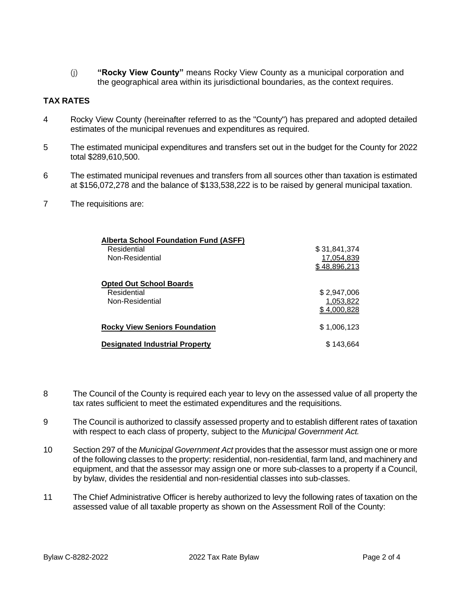(j) **"Rocky View County"** means Rocky View County as a municipal corporation and the geographical area within its jurisdictional boundaries, as the context requires.

# **TAX RATES**

- 4 Rocky View County (hereinafter referred to as the "County") has prepared and adopted detailed estimates of the municipal revenues and expenditures as required.
- 5 The estimated municipal expenditures and transfers set out in the budget for the County for 2022 total \$289,610,500.
- 6 The estimated municipal revenues and transfers from all sources other than taxation is estimated at \$156,072,278 and the balance of \$133,538,222 is to be raised by general municipal taxation.
- 7 The requisitions are:

| <b>Alberta School Foundation Fund (ASFF)</b> |                     |
|----------------------------------------------|---------------------|
| Residential                                  | \$31,841,374        |
| Non-Residential                              | 17,054,839          |
|                                              | <u>\$48,896,213</u> |
| <b>Opted Out School Boards</b>               |                     |
| Residential                                  | \$2,947,006         |
| Non-Residential                              | 1,053,822           |
|                                              | 4,000,828           |
| <b>Rocky View Seniors Foundation</b>         | \$1,006,123         |
| <b>Designated Industrial Property</b>        | \$143.664           |

- 8 The Council of the County is required each year to levy on the assessed value of all property the tax rates sufficient to meet the estimated expenditures and the requisitions.
- 9 The Council is authorized to classify assessed property and to establish different rates of taxation with respect to each class of property, subject to the *Municipal Government Act.*
- 10 Section 297 of the *Municipal Government Act* provides that the assessor must assign one or more of the following classes to the property: residential, non-residential, farm land, and machinery and equipment, and that the assessor may assign one or more sub-classes to a property if a Council, by bylaw, divides the residential and non-residential classes into sub-classes.
- 11 The Chief Administrative Officer is hereby authorized to levy the following rates of taxation on the assessed value of all taxable property as shown on the Assessment Roll of the County: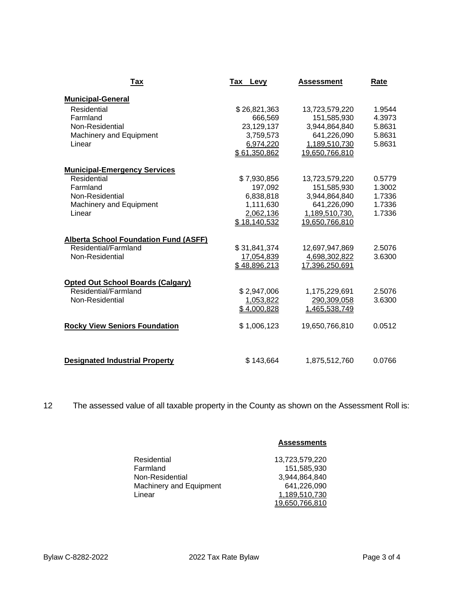| Tax                                          | Tax Levy     | <b>Assessment</b> | Rate   |
|----------------------------------------------|--------------|-------------------|--------|
| <b>Municipal-General</b>                     |              |                   |        |
| Residential                                  | \$26,821,363 | 13,723,579,220    | 1.9544 |
| Farmland                                     | 666,569      | 151,585,930       | 4.3973 |
| Non-Residential                              | 23,129,137   | 3,944,864,840     | 5.8631 |
| <b>Machinery and Equipment</b>               | 3,759,573    | 641,226,090       | 5.8631 |
| Linear                                       | 6,974,220    | 1,189,510,730     | 5.8631 |
|                                              | \$61,350,862 | 19,650,766,810    |        |
| <b>Municipal-Emergency Services</b>          |              |                   |        |
| Residential                                  | \$7,930,856  | 13,723,579,220    | 0.5779 |
| Farmland                                     | 197,092      | 151,585,930       | 1.3002 |
| Non-Residential                              | 6,838,818    | 3,944,864,840     | 1.7336 |
| <b>Machinery and Equipment</b>               | 1,111,630    | 641,226,090       | 1.7336 |
| Linear                                       | 2,062,136    | 1,189,510,730,    | 1.7336 |
|                                              | \$18,140,532 | 19,650,766,810    |        |
| <b>Alberta School Foundation Fund (ASFF)</b> |              |                   |        |
| Residential/Farmland                         | \$31,841,374 | 12,697,947,869    | 2.5076 |
| Non-Residential                              | 17,054,839   | 4,698,302,822     | 3.6300 |
|                                              | \$48,896,213 | 17,396,250,691    |        |
| <b>Opted Out School Boards (Calgary)</b>     |              |                   |        |
| Residential/Farmland                         | \$2,947,006  | 1,175,229,691     | 2.5076 |
| Non-Residential                              | 1,053,822    | 290,309,058       | 3.6300 |
|                                              | \$4,000,828  | 1,465,538,749     |        |
| <b>Rocky View Seniors Foundation</b>         | \$1,006,123  | 19,650,766,810    | 0.0512 |
| <b>Designated Industrial Property</b>        | \$143,664    | 1,875,512,760     | 0.0766 |

12 The assessed value of all taxable property in the County as shown on the Assessment Roll is:

|                         | <b>Assessments</b> |
|-------------------------|--------------------|
| Residential             | 13,723,579,220     |
| Farmland                | 151,585,930        |
| Non-Residential         | 3,944,864,840      |
| Machinery and Equipment | 641,226,090        |
| Linear                  | 1,189,510,730      |
|                         | 19,650,766,810     |